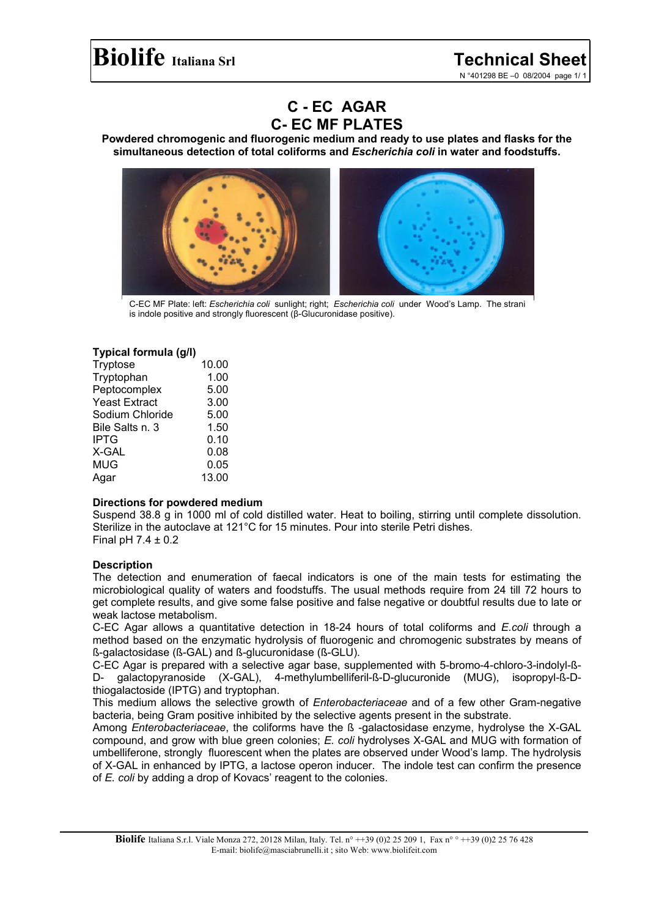N °401298 BE –0 08/2004 page 1/ 1

# **C - EC AGAR C- EC MF PLATES**

**Powdered chromogenic and fluorogenic medium and ready to use plates and flasks for the simultaneous detection of total coliforms and** *Escherichia coli* **in water and foodstuffs.**



C-EC MF Plate: left: *Escherichia coli* sunlight; right; *Escherichia coli* under Wood's Lamp. The strani is indole positive and strongly fluorescent (β-Glucuronidase positive).

## **Typical formula (g/l)**

| Tryptose             | 10.00 |
|----------------------|-------|
| Tryptophan           | 1.00  |
| Peptocomplex         | 5.00  |
| <b>Yeast Extract</b> | 3.00  |
| Sodium Chloride      | 5.00  |
| Bile Salts n. 3      | 1.50  |
| <b>IPTG</b>          | 0.10  |
| X-GAL                | 0.08  |
| <b>MUG</b>           | 0.05  |
| Agar                 | 13.00 |

#### **Directions for powdered medium**

Suspend 38.8 g in 1000 ml of cold distilled water. Heat to boiling, stirring until complete dissolution. Sterilize in the autoclave at 121°C for 15 minutes. Pour into sterile Petri dishes. Final pH  $7.4 \pm 0.2$ 

# **Description**

The detection and enumeration of faecal indicators is one of the main tests for estimating the microbiological quality of waters and foodstuffs. The usual methods require from 24 till 72 hours to get complete results, and give some false positive and false negative or doubtful results due to late or weak lactose metabolism.

C-EC Agar allows a quantitative detection in 18-24 hours of total coliforms and *E.coli* through a method based on the enzymatic hydrolysis of fluorogenic and chromogenic substrates by means of ß-galactosidase (ß-GAL) and ß-glucuronidase (ß-GLU).

C-EC Agar is prepared with a selective agar base, supplemented with 5-bromo-4-chloro-3-indolyl-ß-D- galactopyranoside (X-GAL), 4-methylumbelliferil-ß-D-glucuronide (MUG), isopropyl-ß-Dthiogalactoside (IPTG) and tryptophan.

This medium allows the selective growth of *Enterobacteriaceae* and of a few other Gram-negative bacteria, being Gram positive inhibited by the selective agents present in the substrate.

Among *Enterobacteriaceae*, the coliforms have the ß -galactosidase enzyme, hydrolyse the X-GAL compound, and grow with blue green colonies; *E. coli* hydrolyses X-GAL and MUG with formation of umbelliferone, strongly fluorescent when the plates are observed under Wood's lamp. The hydrolysis of X-GAL in enhanced by IPTG, a lactose operon inducer. The indole test can confirm the presence of *E. coli* by adding a drop of Kovacs' reagent to the colonies.